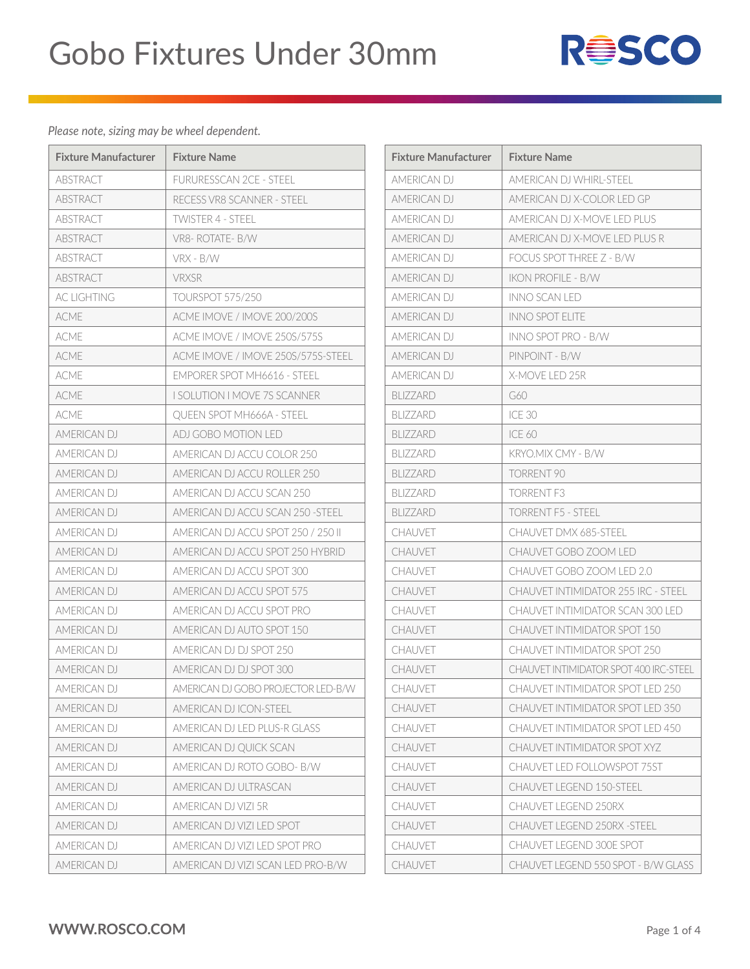

| <b>Fixture Manufacturer</b> | <b>Fixture Name</b>                 | <b>Fixture Manufacturer</b> | <b>Fixture Name</b>  |
|-----------------------------|-------------------------------------|-----------------------------|----------------------|
| ABSTRACT                    | <b>FURURESSCAN 2CE - STEEL</b>      | AMERICAN DJ                 | <b>AMERICAN DJ</b>   |
| <b>ABSTRACT</b>             | RECESS VR8 SCANNER - STEEL          | AMERICAN DJ                 | AMERICAN DJ          |
| <b>ABSTRACT</b>             | <b>TWISTER 4 - STEEL</b>            | AMERICAN DJ                 | <b>AMERICAN DJ</b>   |
| <b>ABSTRACT</b>             | VR8-ROTATE-B/W                      | AMERICAN DJ                 | <b>AMERICAN DJ</b>   |
| ABSTRACT                    | VRX - B/W                           | AMERICAN DJ                 | <b>FOCUS SPOTT</b>   |
| <b>ABSTRACT</b>             | <b>VRXSR</b>                        | AMERICAN DJ                 | <b>IKON PROFILE</b>  |
| AC LIGHTING                 | <b>TOURSPOT 575/250</b>             | AMERICAN DJ                 | INNO SCAN LE         |
| <b>ACME</b>                 | ACME IMOVE / IMOVE 200/200S         | AMERICAN DJ                 | <b>INNO SPOT EL</b>  |
| <b>ACME</b>                 | ACME IMOVE / IMOVE 250S/575S        | AMERICAN DJ                 | <b>INNO SPOT PR</b>  |
| <b>ACME</b>                 | ACME IMOVE / IMOVE 250S/575S-STEEL  | AMERICAN DJ                 | PINPOINT - B/'       |
| <b>ACME</b>                 | EMPORER SPOT MH6616 - STEEL         | AMERICAN DJ                 | X-MOVE LED 2         |
| <b>ACMF</b>                 | <b>I SOLUTION I MOVE 7S SCANNER</b> | <b>BLIZZARD</b>             | G60                  |
| ACME                        | QUEEN SPOT MH666A - STEEL           | <b>BLIZZARD</b>             | ICE 30               |
| AMERICAN DJ                 | ADJ GOBO MOTION LED                 | <b>BLIZZARD</b>             | ICE 60               |
| AMERICAN DJ                 | AMERICAN DJ ACCU COLOR 250          | <b>BLIZZARD</b>             | <b>KRYO.MIX CM'</b>  |
| <b>AMFRICAN DJ</b>          | AMERICAN DJ ACCU ROLLER 250         | <b>BLIZZARD</b>             | TORRENT 90           |
| AMERICAN DJ                 | AMERICAN DJ ACCU SCAN 250           | BLIZZARD                    | TORRENT F3           |
| AMERICAN DJ                 | AMERICAN DJ ACCU SCAN 250 - STEEL   | <b>BLIZZARD</b>             | <b>TORRENT F5 -</b>  |
| AMERICAN DJ                 | AMERICAN DJ ACCU SPOT 250 / 250 II  | CHAUVET                     | <b>CHAUVET DM</b>    |
| AMERICAN DJ                 | AMERICAN DJ ACCU SPOT 250 HYBRID    | <b>CHAUVET</b>              | CHAUVET GOI          |
| AMERICAN DJ                 | AMERICAN DJ ACCU SPOT 300           | <b>CHAUVET</b>              | CHAUVET GOI          |
| AMERICAN DJ                 | AMERICAN DJ ACCU SPOT 575           | <b>CHAUVET</b>              | <b>CHAUVET INT</b>   |
| AMERICAN DJ                 | AMERICAN DJ ACCU SPOT PRO           | <b>CHAUVET</b>              | <b>CHAUVET INT</b>   |
| AMERICAN DJ                 | AMERICAN DJ AUTO SPOT 150           | CHAUVET                     | CHAUVET INT          |
| AMERICAN DJ                 | AMERICAN DJ DJ SPOT 250             | CHAUVET                     | <b>CHAUVET INT</b>   |
| AMERICAN DJ                 | AMERICAN DJ DJ SPOT 300             | CHAUVET                     | <b>CHAUVET INTIN</b> |
| AMERICAN DJ                 | AMERICAN DJ GOBO PROJECTOR LED-B/W  | CHAUVET                     | CHAUVET INT          |
| AMERICAN DJ                 | AMERICAN DJ ICON-STEEL              | <b>CHAUVET</b>              | <b>CHAUVET INT</b>   |
| AMERICAN DJ                 | AMERICAN DJ LED PLUS-R GLASS        | CHAUVET                     | <b>CHAUVET INT</b>   |
| AMERICAN DJ                 | AMERICAN DJ QUICK SCAN              | <b>CHAUVET</b>              | CHAUVET INT          |
| AMERICAN DJ                 | AMERICAN DJ ROTO GOBO- B/W          | CHAUVET                     | <b>CHAUVET LED</b>   |
| AMERICAN DJ                 | AMERICAN DJ ULTRASCAN               | CHAUVET                     | CHAUVET LEG          |
| AMERICAN DJ                 | AMERICAN DJ VIZI 5R                 | CHAUVET                     | CHAUVET LEG          |
| AMERICAN DJ                 | AMERICAN DJ VIZI LED SPOT           | <b>CHAUVET</b>              | <b>CHAUVET LEG</b>   |
| AMERICAN DJ                 | AMERICAN DJ VIZI LED SPOT PRO       | CHAUVET                     | <b>CHAUVET LEG</b>   |
| AMERICAN DJ                 | AMERICAN DJ VIZI SCAN LED PRO-B/W   | CHAUVET                     | CHAUVET LEG          |

| Fixture Manufacturer | <b>Fixture Name</b>                           |
|----------------------|-----------------------------------------------|
| <b>AMFRICAN DJ</b>   | AMERICAN DJ WHIRL-STEEL                       |
| AMERICAN DJ          | AMERICAN DJ X-COLOR LED GP                    |
| <b>AMFRICAN DJ</b>   | AMERICAN DJ X-MOVE LED PLUS                   |
| AMERICAN DJ          | AMERICAN DJ X-MOVE LED PLUS R                 |
| AMERICAN DJ          | <b>FOCUS SPOT THREE Z - B/W</b>               |
| AMERICAN DJ          | <b>IKON PROFILE - B/W</b>                     |
| AMERICAN DJ          | INNO SCAN LED                                 |
| <b>AMFRICAN DJ</b>   | <b>INNO SPOT ELITE</b>                        |
| AMERICAN DJ          | INNO SPOT PRO - B/W                           |
| AMERICAN DJ          | PINPOINT - B/W                                |
| AMERICAN DJ          | X-MOVE LED 25R                                |
| <b>BLIZZARD</b>      | G60                                           |
| <b>BLIZZARD</b>      | ICE 30                                        |
| <b>BLIZZARD</b>      | <b>ICE 60</b>                                 |
| <b>BLIZZARD</b>      | KRYO.MIX CMY - B/W                            |
| <b>BLIZZARD</b>      | TORRENT 90                                    |
| <b>BI 177ARD</b>     | TORRENT F3                                    |
| <b>BLIZZARD</b>      | <b>TORRENT F5 - STEEL</b>                     |
| <b>CHAUVET</b>       | <b>CHAUVET DMX 685-STEEL</b>                  |
| <b>CHAUVET</b>       | CHAUVET GOBO ZOOM LED                         |
| <b>CHAUVET</b>       | CHAUVET GOBO ZOOM LED 2.0                     |
| <b>CHAUVET</b>       | <b>CHAUVET INTIMIDATOR 255 IRC - STEEL</b>    |
| <b>CHAUVET</b>       | CHAUVET INTIMIDATOR SCAN 300 LED              |
| <b>CHAUVET</b>       | CHAUVET INTIMIDATOR SPOT 150                  |
| CHAUVFT              | <b>CHAUVET INTIMIDATOR SPOT 250</b>           |
| <b>CHAUVET</b>       | <b>CHAUVET INTIMIDATOR SPOT 400 IRC-STEEL</b> |
| <b>CHAUVET</b>       | <b>CHAUVET INTIMIDATOR SPOT LED 250</b>       |
| <b>CHAUVFT</b>       | <b>CHAUVET INTIMIDATOR SPOT LED 350</b>       |
| CHAUVET              | CHAUVET INTIMIDATOR SPOT LED 450              |
| <b>CHAUVET</b>       | <b>CHAUVET INTIMIDATOR SPOT XYZ</b>           |
| <b>CHAUVET</b>       | <b>CHAUVET LED FOLLOWSPOT 75ST</b>            |
| CHAUVET              | <b>CHAUVET LEGEND 150-STEEL</b>               |
| <b>CHAUVET</b>       | <b>CHAUVET LEGEND 250RX</b>                   |
| <b>CHAUVET</b>       | <b>CHAUVET LEGEND 250RX -STEEL</b>            |
| CHAUVET              | <b>CHAUVET LEGEND 300E SPOT</b>               |
| CHAUVET              | CHAUVET LEGEND 550 SPOT - B/W GLASS           |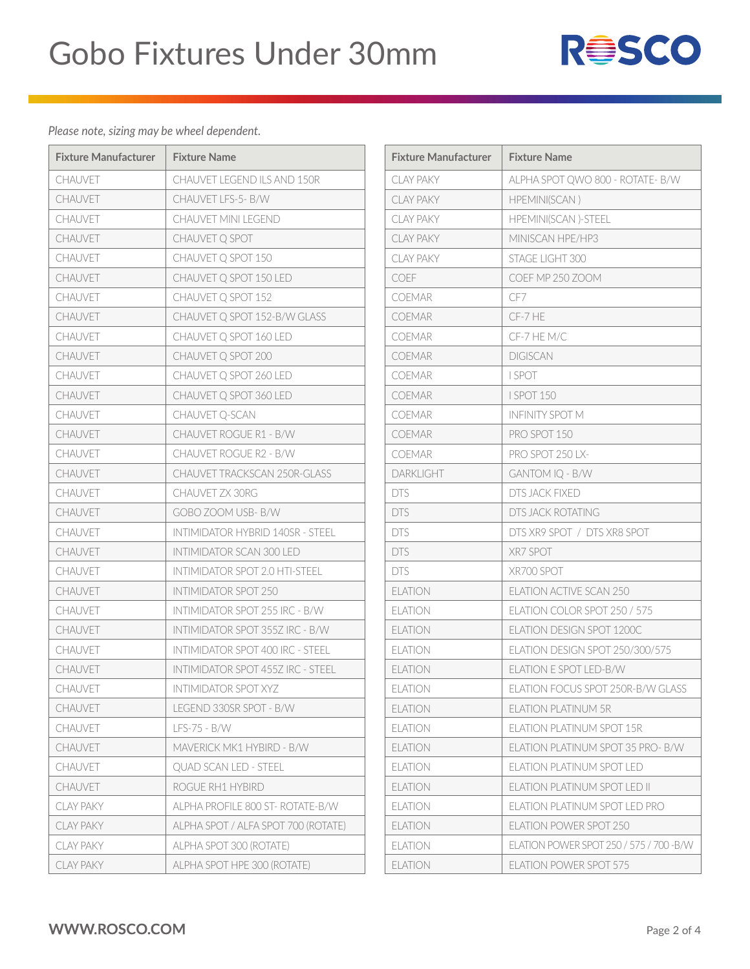

| <b>Fixture Manufacturer</b> | <b>Fixture Name</b>                     | <b>Fixture Manufacturer</b> |
|-----------------------------|-----------------------------------------|-----------------------------|
|                             |                                         |                             |
| CHAUVET                     | CHAUVET LEGEND ILS AND 150R             | <b>CLAY PAKY</b>            |
| CHAUVET                     | CHAUVET LFS-5- B/W                      | <b>CLAY PAKY</b>            |
| <b>CHAUVET</b>              | <b>CHAUVET MINI LEGEND</b>              | <b>CLAY PAKY</b>            |
| <b>CHAUVET</b>              | CHAUVET Q SPOT                          | <b>CLAY PAKY</b>            |
| <b>CHAUVET</b>              | CHAUVET Q SPOT 150                      | <b>CLAY PAKY</b>            |
| <b>CHAUVET</b>              | CHAUVET Q SPOT 150 LED                  | COEF                        |
| <b>CHAUVET</b>              | CHAUVET Q SPOT 152                      | <b>COEMAR</b>               |
| <b>CHAUVET</b>              | CHAUVET Q SPOT 152-B/W GLASS            | COEMAR                      |
| CHAUVET                     | CHAUVET Q SPOT 160 LED                  | COEMAR                      |
| <b>CHAUVET</b>              | CHAUVET Q SPOT 200                      | <b>COEMAR</b>               |
| <b>CHAUVET</b>              | CHAUVET Q SPOT 260 LED                  | COEMAR                      |
| <b>CHAUVET</b>              | CHAUVET Q SPOT 360 LED                  | COEMAR                      |
| <b>CHAUVET</b>              | CHAUVET Q-SCAN                          | <b>COEMAR</b>               |
| CHAUVET                     | CHAUVET ROGUE R1 - B/W                  | <b>COEMAR</b>               |
| CHAUVET                     | CHAUVET ROGUE R2 - B/W                  | COFMAR                      |
| <b>CHAUVET</b>              | <b>CHAUVET TRACKSCAN 250R-GLASS</b>     | <b>DARKLIGHT</b>            |
| CHAUVET                     | CHAUVET ZX 30RG                         | <b>DTS</b>                  |
| <b>CHAUVET</b>              | GOBO ZOOM USB-B/W                       | <b>DTS</b>                  |
| <b>CHAUVET</b>              | <b>INTIMIDATOR HYBRID 140SR - STEEL</b> | <b>DTS</b>                  |
| <b>CHAUVET</b>              | INTIMIDATOR SCAN 300 LED                | <b>DTS</b>                  |
| <b>CHAUVET</b>              | INTIMIDATOR SPOT 2.0 HTI-STEEL          | <b>DTS</b>                  |
| <b>CHAUVET</b>              | <b>INTIMIDATOR SPOT 250</b>             | <b>ELATION</b>              |
| CHAUVET                     | INTIMIDATOR SPOT 255 IRC - B/W          | <b>ELATION</b>              |
| CHAUVET                     | INTIMIDATOR SPOT 355Z IRC - B/W         | <b>ELATION</b>              |
| <b>CHAUVET</b>              | INTIMIDATOR SPOT 400 IRC - STEEL        | <b>ELATION</b>              |
| CHAUVET                     | INTIMIDATOR SPOT 455Z IRC - STEEL       | <b>ELATION</b>              |
| CHAUVET                     | INTIMIDATOR SPOT XYZ                    | <b>ELATION</b>              |
| CHAUVET                     | LEGEND 330SR SPOT - B/W                 | <b>ELATION</b>              |
| CHAUVET                     | $LFS-75 - B/W$                          | <b>ELATION</b>              |
| <b>CHAUVET</b>              | MAVERICK MK1 HYBIRD - B/W               | <b>ELATION</b>              |
| CHAUVET                     | <b>QUAD SCAN LED - STEEL</b>            | <b>ELATION</b>              |
| CHAUVET                     | ROGUE RH1 HYBIRD                        | <b>ELATION</b>              |
| <b>CLAY PAKY</b>            | ALPHA PROFILE 800 ST-ROTATE-B/W         | <b>ELATION</b>              |
| <b>CLAY PAKY</b>            | ALPHA SPOT / ALFA SPOT 700 (ROTATE)     | <b>ELATION</b>              |
| <b>CLAY PAKY</b>            | ALPHA SPOT 300 (ROTATE)                 | <b>ELATION</b>              |
| <b>CLAY PAKY</b>            | ALPHA SPOT HPE 300 (ROTATE)             | <b>ELATION</b>              |
|                             |                                         |                             |

| <b>Fixture Manufacturer</b> | <b>Fixture Name</b>                      |
|-----------------------------|------------------------------------------|
| <b>CLAY PAKY</b>            | ALPHA SPOT QWO 800 - ROTATE- B/W         |
| <b>CLAY PAKY</b>            | HPEMINI(SCAN)                            |
| <b>CLAY PAKY</b>            | <b>HPEMINI(SCAN)-STEEL</b>               |
| <b>CLAY PAKY</b>            | MINISCAN HPE/HP3                         |
| <b>CLAY PAKY</b>            | STAGE LIGHT 300                          |
| COEF                        | COEF MP 250 ZOOM                         |
| COEMAR                      | CF7                                      |
| <b>COEMAR</b>               | CF-7 HE                                  |
| <b>COEMAR</b>               | CF-7 HE M/C                              |
| <b>COEMAR</b>               | <b>DIGISCAN</b>                          |
| <b>COEMAR</b>               | I SPOT                                   |
| COEMAR                      | <b>I SPOT 150</b>                        |
| COEMAR                      | <b>INFINITY SPOT M</b>                   |
| COEMAR                      | PRO SPOT 150                             |
| COEMAR                      | PRO SPOT 250 LX-                         |
| <b>DARKLIGHT</b>            | GANTOM IQ - B/W                          |
| <b>DTS</b>                  | DTS JACK FIXED                           |
| <b>DTS</b>                  | <b>DTS JACK ROTATING</b>                 |
| <b>DTS</b>                  | DTS XR9 SPOT / DTS XR8 SPOT              |
| <b>DTS</b>                  | XR7 SPOT                                 |
| <b>DTS</b>                  | XR700 SPOT                               |
| <b>ELATION</b>              | <b>ELATION ACTIVE SCAN 250</b>           |
| <b>ELATION</b>              | ELATION COLOR SPOT 250 / 575             |
| <b>ELATION</b>              | <b>ELATION DESIGN SPOT 1200C</b>         |
| <b>ELATION</b>              | ELATION DESIGN SPOT 250/300/575          |
| <b>ELATION</b>              | <b>ELATION E SPOT LED-B/W</b>            |
| <b>ELATION</b>              | ELATION FOCUS SPOT 250R-B/W GLASS        |
| ELATION                     | <b>FLATION PLATINUM 5R</b>               |
| <b>ELATION</b>              | <b>ELATION PLATINUM SPOT 15R</b>         |
| <b>ELATION</b>              | ELATION PLATINUM SPOT 35 PRO- B/W        |
| <b>FLATION</b>              | ELATION PLATINUM SPOT LED                |
| <b>FLATION</b>              | <b>ELATION PLATINUM SPOT LED II</b>      |
| <b>ELATION</b>              | ELATION PLATINUM SPOT LED PRO            |
| <b>FLATION</b>              | ELATION POWER SPOT 250                   |
| <b>ELATION</b>              | ELATION POWER SPOT 250 / 575 / 700 - B/W |
| <b>ELATION</b>              | <b>ELATION POWER SPOT 575</b>            |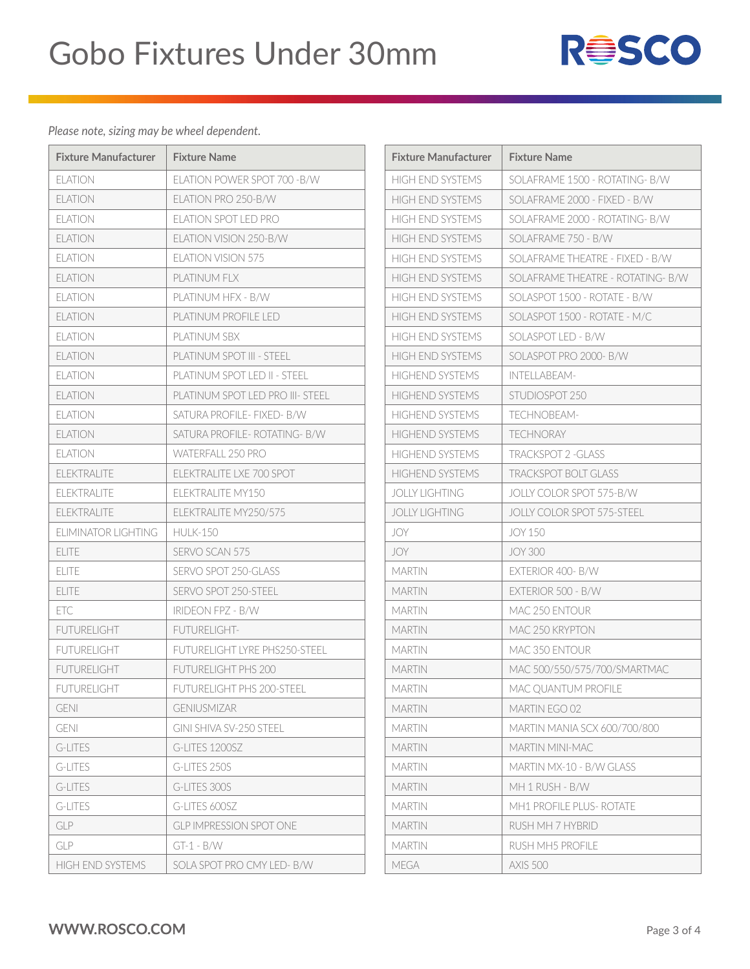

| <b>Fixture Manufacturer</b> | <b>Fixture Name</b>              | <b>Fixture Manufacturer</b> | <b>Fixture Name</b>     |
|-----------------------------|----------------------------------|-----------------------------|-------------------------|
| <b>ELATION</b>              | FLATION POWER SPOT 700 - B/W     | <b>HIGH END SYSTEMS</b>     | SOLAFRAME 1             |
| <b>ELATION</b>              | ELATION PRO 250-B/W              | <b>HIGH END SYSTEMS</b>     | SOLAFRAME 2             |
| <b>ELATION</b>              | <b>ELATION SPOT LED PRO</b>      | <b>HIGH END SYSTEMS</b>     | SOLAFRAME 2             |
| <b>ELATION</b>              | ELATION VISION 250-B/W           | <b>HIGH END SYSTEMS</b>     | SOLAFRAME 7             |
| <b>ELATION</b>              | <b>ELATION VISION 575</b>        | <b>HIGH END SYSTEMS</b>     | SOLAFRAME T             |
| <b>ELATION</b>              | PLATINUM FLX                     | HIGH END SYSTEMS            | SOLAFRAME T             |
| <b>ELATION</b>              | PLATINUM HFX - B/W               | <b>HIGH END SYSTEMS</b>     | SOLASPOT 150            |
| <b>ELATION</b>              | PLATINUM PROFILE LED             | <b>HIGH END SYSTEMS</b>     | SOLASPOT 150            |
| <b>ELATION</b>              | PLATINUM SBX                     | <b>HIGH END SYSTEMS</b>     | <b>SOLASPOT LED</b>     |
| <b>ELATION</b>              | PLATINUM SPOT III - STEEL        | <b>HIGH END SYSTEMS</b>     | <b>SOLASPOT PRO</b>     |
| <b>ELATION</b>              | PLATINUM SPOT LED II - STEEL     | <b>HIGHEND SYSTEMS</b>      | <b>INTELLABEAM</b>      |
| <b>ELATION</b>              | PLATINUM SPOT LED PRO III- STEEL | <b>HIGHEND SYSTEMS</b>      | STUDIOSPOT <sub>2</sub> |
| <b>ELATION</b>              | SATURA PROFILF- FIXED- B/W       | <b>HIGHEND SYSTEMS</b>      | <b>TECHNOBEAN</b>       |
| <b>ELATION</b>              | SATURA PROFILF- ROTATING- B/W    | <b>HIGHEND SYSTEMS</b>      | TECHNORAY               |
| <b>ELATION</b>              | WATERFALL 250 PRO                | <b>HIGHEND SYSTEMS</b>      | <b>TRACKSPOT 2</b>      |
| <b>ELEKTRALITE</b>          | ELEKTRALITE LXE 700 SPOT         | <b>HIGHEND SYSTEMS</b>      | <b>TRACKSPOT B</b>      |
| <b>ELEKTRALITE</b>          | FLFKTRALITE MY150                | <b>JOLLY LIGHTING</b>       | <b>JOLLY COLOR</b>      |
| <b>ELEKTRALITE</b>          | ELEKTRALITE MY250/575            | <b>JOLLY LIGHTING</b>       | <b>JOLLY COLOR</b>      |
| ELIMINATOR LIGHTING         | <b>HULK-150</b>                  | JOY                         | <b>JOY 150</b>          |
| <b>ELITE</b>                | SERVO SCAN 575                   | JOY                         | <b>JOY 300</b>          |
| <b>ELITE</b>                | SERVO SPOT 250-GLASS             | <b>MARTIN</b>               | <b>EXTERIOR 400</b>     |
| <b>ELITE</b>                | SERVO SPOT 250-STEEL             | <b>MARTIN</b>               | <b>EXTERIOR 500</b>     |
| ETC                         | <b>IRIDEON FPZ - B/W</b>         | <b>MARTIN</b>               | <b>MAC 250 ENT</b>      |
| <b>FUTURELIGHT</b>          | FUTURELIGHT-                     | <b>MARTIN</b>               | MAC 250 KRYF            |
| <b>FUTURELIGHT</b>          | FUTURELIGHT LYRE PHS250-STEEL    | <b>MARTIN</b>               | <b>MAC 350 ENT</b>      |
| <b>FUTURELIGHT</b>          | FUTURELIGHT PHS 200              | <b>MARTIN</b>               | MAC 500/550             |
| <b>FUTURELIGHT</b>          | FUTURELIGHT PHS 200-STEEL        | MARTIN                      | MAC QUANTU              |
| <b>GENI</b>                 | <b>GENIUSMIZAR</b>               | <b>MARTIN</b>               | <b>MARTIN EGO (</b>     |
| <b>GENI</b>                 | GINI SHIVA SV-250 STEEL          | <b>MARTIN</b>               | <b>MARTIN MANI</b>      |
| G-LITES                     | G-LITES 1200SZ                   | <b>MARTIN</b>               | <b>MARTIN MINI-</b>     |
| <b>G-LITES</b>              | G-LITES 250S                     | <b>MARTIN</b>               | MARTIN MX-1             |
| G-LITES                     | G-LITES 300S                     | <b>MARTIN</b>               | MH 1 RUSH - E           |
| G-LITES                     | G-LITES 600SZ                    | <b>MARTIN</b>               | MH1 PROFILE             |
| <b>GLP</b>                  | <b>GLP IMPRESSION SPOT ONE</b>   | <b>MARTIN</b>               | RUSH MH 7 H'            |
| <b>GLP</b>                  | $GT-1 - B/W$                     | <b>MARTIN</b>               | <b>RUSH MH5 PR</b>      |
| HIGH END SYSTEMS            | SOLA SPOT PRO CMY LED- B/W       | MEGA                        | <b>AXIS 500</b>         |

| <b>Fixture Manufacturer</b> | <b>Fixture Name</b>               |
|-----------------------------|-----------------------------------|
| <b>HIGH END SYSTEMS</b>     | SOLAFRAME 1500 - ROTATING- B/W    |
| HIGH FND SYSTEMS            | SOLAFRAME 2000 - FIXED - B/W      |
| <b>HIGH END SYSTEMS</b>     | SOLAFRAME 2000 - ROTATING- B/W    |
| <b>HIGH END SYSTEMS</b>     | SOLAFRAME 750 - B/W               |
| HIGH FND SYSTEMS            | SOLAFRAME THEATRE - FIXED - B/W   |
| <b>HIGH END SYSTEMS</b>     | SOLAFRAME THEATRE - ROTATING- B/W |
| <b>HIGH END SYSTEMS</b>     | SOLASPOT 1500 - ROTATE - B/W      |
| HIGH FND SYSTEMS            | SOLASPOT 1500 - ROTATE - M/C      |
| <b>HIGH END SYSTEMS</b>     | SOLASPOT LED - B/W                |
| <b>HIGH END SYSTEMS</b>     | SOLASPOT PRO 2000- B/W            |
| <b>HIGHEND SYSTEMS</b>      | <b>INTELLABEAM-</b>               |
| <b>HIGHEND SYSTEMS</b>      | STUDIOSPOT 250                    |
| <b>HIGHEND SYSTEMS</b>      | TFCHNOBFAM-                       |
| <b>HIGHEND SYSTEMS</b>      | <b>TECHNORAY</b>                  |
| <b>HIGHEND SYSTEMS</b>      | <b>TRACKSPOT 2 -GLASS</b>         |
| <b>HIGHEND SYSTEMS</b>      | <b>TRACKSPOT BOLT GLASS</b>       |
| <b>JOLLY LIGHTING</b>       | JOLLY COLOR SPOT 575-B/W          |
| <b>JOLLY LIGHTING</b>       | JOLLY COLOR SPOT 575-STEEL        |
| JOY                         | <b>JOY 150</b>                    |
| JOY                         | <b>JOY 300</b>                    |
| MARTIN                      | EXTERIOR 400- B/W                 |
| <b>MARTIN</b>               | EXTERIOR 500 - B/W                |
| <b>MARTIN</b>               | MAC 250 ENTOUR                    |
| MARTIN                      | MAC 250 KRYPTON                   |
| <b>MARTIN</b>               | MAC 350 FNTOUR                    |
| <b>MARTIN</b>               | MAC 500/550/575/700/SMARTMAC      |
| <b>MARTIN</b>               | MAC QUANTUM PROFILE               |
| <b>MARTIN</b>               | <b>MARTIN EGO 02</b>              |
| <b>MARTIN</b>               | MARTIN MANIA SCX 600/700/800      |
| MARTIN                      | MARTIN MINI-MAC                   |
| <b>MARTIN</b>               | MARTIN MX-10 - B/W GLASS          |
| <b>MARTIN</b>               | MH 1 RUSH - B/W                   |
| MARTIN                      | <b>MH1 PROFILE PLUS- ROTATE</b>   |
| <b>MARTIN</b>               | RUSH MH 7 HYBRID                  |
| <b>MARTIN</b>               | <b>RUSH MH5 PROFILE</b>           |
| <b>MEGA</b>                 | <b>AXIS 500</b>                   |